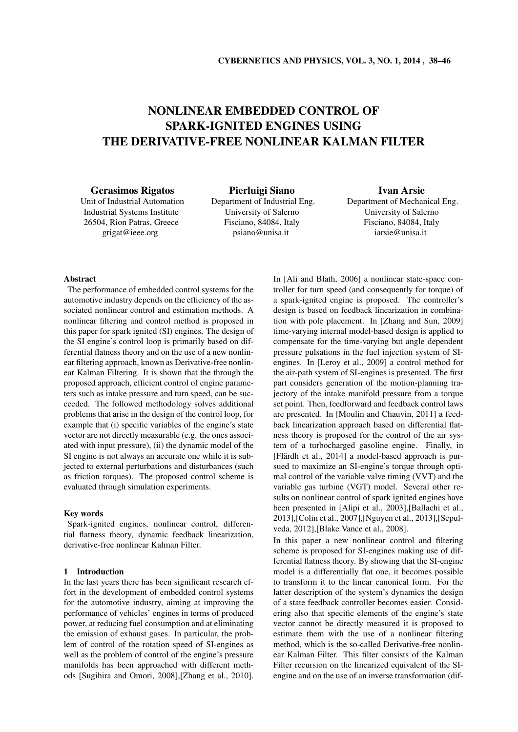# NONLINEAR EMBEDDED CONTROL OF SPARK-IGNITED ENGINES USING THE DERIVATIVE-FREE NONLINEAR KALMAN FILTER

Gerasimos Rigatos

Unit of Industrial Automation Industrial Systems Institute 26504, Rion Patras, Greece grigat@ieee.org

Pierluigi Siano Department of Industrial Eng. University of Salerno Fisciano, 84084, Italy psiano@unisa.it

# Ivan Arsie

Department of Mechanical Eng. University of Salerno Fisciano, 84084, Italy iarsie@unisa.it

# Abstract

The performance of embedded control systems for the automotive industry depends on the efficiency of the associated nonlinear control and estimation methods. A nonlinear filtering and control method is proposed in this paper for spark ignited (SI) engines. The design of the SI engine's control loop is primarily based on differential flatness theory and on the use of a new nonlinear filtering approach, known as Derivative-free nonlinear Kalman Filtering. It is shown that the through the proposed approach, efficient control of engine parameters such as intake pressure and turn speed, can be succeeded. The followed methodology solves additional problems that arise in the design of the control loop, for example that (i) specific variables of the engine's state vector are not directly measurable (e.g. the ones associated with input pressure), (ii) the dynamic model of the SI engine is not always an accurate one while it is subjected to external perturbations and disturbances (such as friction torques). The proposed control scheme is evaluated through simulation experiments.

# Key words

Spark-ignited engines, nonlinear control, differential flatness theory, dynamic feedback linearization, derivative-free nonlinear Kalman Filter.

## 1 Introduction

In the last years there has been significant research effort in the development of embedded control systems for the automotive industry, aiming at improving the performance of vehicles' engines in terms of produced power, at reducing fuel consumption and at eliminating the emission of exhaust gases. In particular, the problem of control of the rotation speed of SI-engines as well as the problem of control of the engine's pressure manifolds has been approached with different methods [Sugihira and Omori, 2008],[Zhang et al., 2010]. In [Ali and Blath, 2006] a nonlinear state-space controller for turn speed (and consequently for torque) of a spark-ignited engine is proposed. The controller's design is based on feedback linearization in combination with pole placement. In [Zhang and Sun, 2009] time-varying internal model-based design is applied to compensate for the time-varying but angle dependent pressure pulsations in the fuel injection system of SIengines. In [Leroy et al., 2009] a control method for the air-path system of SI-engines is presented. The first part considers generation of the motion-planning trajectory of the intake manifold pressure from a torque set point. Then, feedforward and feedback control laws are presented. In [Moulin and Chauvin, 2011] a feedback linearization approach based on differential flatness theory is proposed for the control of the air system of a turbocharged gasoline engine. Finally, in [Flärdh et al.,  $2014$ ] a model-based approach is pursued to maximize an SI-engine's torque through optimal control of the variable valve timing (VVT) and the variable gas turbine (VGT) model. Several other results on nonlinear control of spark ignited engines have been presented in [Alipi et al., 2003],[Ballachi et al., 2013],[Colin et al., 2007],[Nguyen et al., 2013],[Sepulveda, 2012],[Blake Vance et al., 2008].

In this paper a new nonlinear control and filtering scheme is proposed for SI-engines making use of differential flatness theory. By showing that the SI-engine model is a differentially flat one, it becomes possible to transform it to the linear canonical form. For the latter description of the system's dynamics the design of a state feedback controller becomes easier. Considering also that specific elements of the engine's state vector cannot be directly measured it is proposed to estimate them with the use of a nonlinear filtering method, which is the so-called Derivative-free nonlinear Kalman Filter. This filter consists of the Kalman Filter recursion on the linearized equivalent of the SIengine and on the use of an inverse transformation (dif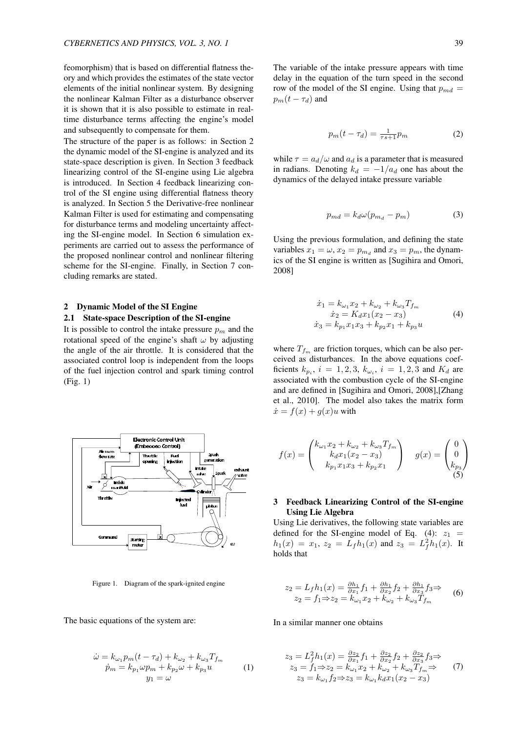feomorphism) that is based on differential flatness theory and which provides the estimates of the state vector elements of the initial nonlinear system. By designing the nonlinear Kalman Filter as a disturbance observer it is shown that it is also possible to estimate in realtime disturbance terms affecting the engine's model and subsequently to compensate for them.

The structure of the paper is as follows: in Section 2 the dynamic model of the SI-engine is analyzed and its state-space description is given. In Section 3 feedback linearizing control of the SI-engine using Lie algebra is introduced. In Section 4 feedback linearizing control of the SI engine using differential flatness theory is analyzed. In Section 5 the Derivative-free nonlinear Kalman Filter is used for estimating and compensating for disturbance terms and modeling uncertainty affecting the SI-engine model. In Section 6 simulation experiments are carried out to assess the performance of the proposed nonlinear control and nonlinear filtering scheme for the SI-engine. Finally, in Section 7 concluding remarks are stated.

#### 2 Dynamic Model of the SI Engine

#### 2.1 State-space Description of the SI-engine

It is possible to control the intake pressure  $p_m$  and the rotational speed of the engine's shaft *ω* by adjusting the angle of the air throttle. It is considered that the associated control loop is independent from the loops of the fuel injection control and spark timing control (Fig. 1)



Figure 1. Diagram of the spark-ignited engine

The basic equations of the system are:

$$
\dot{\omega} = k_{\omega_1} p_m (t - \tau_d) + k_{\omega_2} + k_{\omega_3} T_{f_m}
$$
  
\n
$$
\dot{p}_m = k_{p_1} \omega p_m + k_{p_2} \omega + k_{p_3} u
$$
  
\n
$$
y_1 = \omega
$$
 (1)

The variable of the intake pressure appears with time delay in the equation of the turn speed in the second row of the model of the SI engine. Using that  $p_{md}$  =  $p_m(t - \tau_d)$  and

$$
p_m(t - \tau_d) = \frac{1}{\tau s + 1} p_m \tag{2}
$$

while  $\tau = a_d/\omega$  and  $a_d$  is a parameter that is measured in radians. Denoting  $k_d = -1/a_d$  one has about the dynamics of the delayed intake pressure variable

$$
p_{md} = k_d \omega (p_{m_d} - p_m) \tag{3}
$$

Using the previous formulation, and defining the state variables  $x_1 = \omega$ ,  $x_2 = p_{m_d}$  and  $x_3 = p_m$ , the dynamics of the SI engine is written as [Sugihira and Omori, 2008]

$$
\begin{aligned}\n\dot{x}_1 &= k_{\omega_1} x_2 + k_{\omega_2} + k_{\omega_3} T_{f_m} \\
\dot{x}_2 &= K_d x_1 (x_2 - x_3) \\
\dot{x}_3 &= k_{p_1} x_1 x_3 + k_{p_2} x_1 + k_{p_3} u\n\end{aligned} \tag{4}
$$

where  $T_{f_m}$  are friction torques, which can be also perceived as disturbances. In the above equations coefficients  $k_{p_i}$ ,  $i = 1, 2, 3$ ,  $k_{\omega_i}$ ,  $i = 1, 2, 3$  and  $K_d$  are associated with the combustion cycle of the SI-engine and are defined in [Sugihira and Omori, 2008],[Zhang et al., 2010]. The model also takes the matrix form  $\dot{x} = f(x) + g(x)u$  with

$$
f(x) = \begin{pmatrix} k_{\omega_1}x_2 + k_{\omega_2} + k_{\omega_3}T_{f_m} \\ k_dx_1(x_2 - x_3) \\ k_{p_1}x_1x_3 + k_{p_2}x_1 \end{pmatrix} \quad g(x) = \begin{pmatrix} 0 \\ 0 \\ k_{p_3} \end{pmatrix}
$$

# 3 Feedback Linearizing Control of the SI-engine Using Lie Algebra

Using Lie derivatives, the following state variables are defined for the SI-engine model of Eq.  $(4)$ :  $z_1$  =  $h_1(x) = x_1, z_2 = L_f h_1(x)$  and  $z_3 = L_f^2 h_1(x)$ . It holds that

$$
z_2 = L_f h_1(x) = \frac{\partial h_1}{\partial x_1} f_1 + \frac{\partial h_1}{\partial x_2} f_2 + \frac{\partial h_1}{\partial x_3} f_3 \Rightarrow z_2 = f_1 \Rightarrow z_2 = k_{\omega_1} x_2 + k_{\omega_2} + k_{\omega_3} T_{f_m}
$$
 (6)

In a similar manner one obtains

$$
z_3 = L_f^2 h_1(x) = \frac{\partial z_2}{\partial x_1} f_1 + \frac{\partial z_2}{\partial x_2} f_2 + \frac{\partial z_2}{\partial x_3} f_3 \Rightarrow z_3 = f_1 \Rightarrow z_2 = k_{\omega_1} x_2 + k_{\omega_2} + k_{\omega_3} T_{f_m} \Rightarrow z_3 = k_{\omega_1} f_2 \Rightarrow z_3 = k_{\omega_1} k_d x_1(x_2 - x_3)
$$
 (7)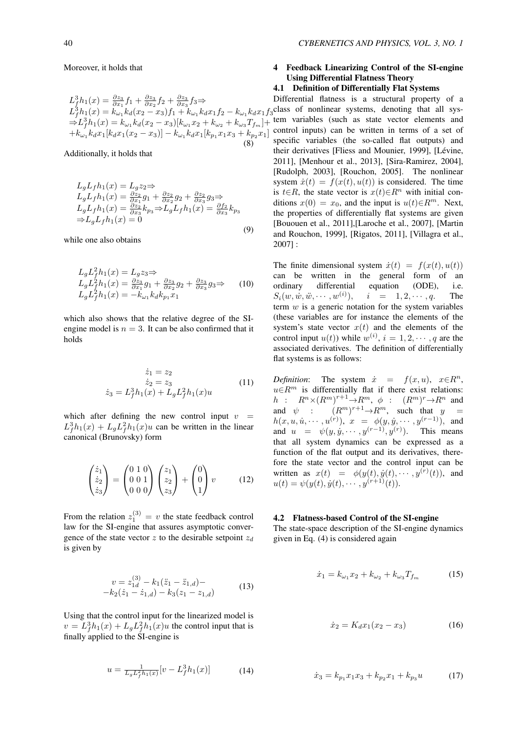Moreover, it holds that

$$
L_{j}^{3}h_{1}(x) = \frac{\partial z_{3}}{\partial x_{1}}f_{1} + \frac{\partial z_{3}}{\partial x_{2}}f_{2} + \frac{\partial z_{3}}{\partial x_{3}}f_{3} \Rightarrow
$$
  
\n
$$
L_{j}^{3}h_{1}(x) = k_{\omega_{1}}k_{d}(x_{2} - x_{3})f_{1} + k_{\omega_{1}}k_{d}x_{1}f_{2} - k_{\omega_{1}}k_{d}x_{1}f_{3}
$$
  
\n
$$
\Rightarrow L_{j}^{3}h_{1}(x) = k_{\omega_{1}}k_{d}(x_{2} - x_{3})[k_{\omega_{1}}x_{2} + k_{\omega_{2}} + k_{\omega_{3}}T_{f_{m}}] +
$$
  
\n
$$
+k_{\omega_{1}}k_{d}x_{1}[k_{d}x_{1}(x_{2} - x_{3})] - k_{\omega_{1}}k_{d}x_{1}[k_{p_{1}}x_{1}x_{3} + k_{p_{2}}x_{1}]
$$
  
\n(8)

Additionally, it holds that

$$
L_gL_f h_1(x) = L_g z_2 \Rightarrow
$$
  
\n
$$
L_gL_f h_1(x) = \frac{\partial z_2}{\partial x_1} g_1 + \frac{\partial z_2}{\partial x_2} g_2 + \frac{\partial z_2}{\partial x_3} g_3 \Rightarrow
$$
  
\n
$$
L_gL_f h_1(x) = \frac{\partial z_2}{\partial x_3} k_{p_3} \Rightarrow L_gL_f h_1(x) = \frac{\partial f_2}{\partial x_3} k_{p_3}
$$
  
\n
$$
\Rightarrow L_gL_f h_1(x) = 0
$$
\n(9)

while one also obtains

$$
L_g L_f^2 h_1(x) = L_g z_3 \Rightarrow
$$
  
\n
$$
L_g L_f^2 h_1(x) = \frac{\partial z_3}{\partial x_1} g_1 + \frac{\partial z_3}{\partial x_2} g_2 + \frac{\partial z_3}{\partial x_3} g_3 \Rightarrow
$$
  
\n
$$
L_g L_f^2 h_1(x) = -k_{\omega_1} k_d k_{p_1} x_1
$$
\n(10)

which also shows that the relative degree of the SIengine model is  $n = 3$ . It can be also confirmed that it holds

$$
\dot{z}_1 = z_2
$$
  
\n
$$
\dot{z}_2 = z_3
$$
  
\n
$$
\dot{z}_3 = L_f^3 h_1(x) + L_g L_f^2 h_1(x) u
$$
\n(11)

which after defining the new control input  $v =$  $L_f^3 h_1(x) + L_g L_f^2 h_1(x)u$  can be written in the linear canonical (Brunovsky) form

$$
\begin{pmatrix} \dot{z}_1\\ \dot{z}_2\\ \dot{z}_3 \end{pmatrix} = \begin{pmatrix} 0 & 1 & 0\\ 0 & 0 & 1\\ 0 & 0 & 0 \end{pmatrix} \begin{pmatrix} z_1\\ z_2\\ z_3 \end{pmatrix} + \begin{pmatrix} 0\\ 0\\ 1 \end{pmatrix} v \tag{12}
$$

From the relation  $z_1^{(3)} = v$  the state feedback control law for the SI-engine that assures asymptotic convergence of the state vector *z* to the desirable setpoint *z<sup>d</sup>* is given by

$$
v = z_{1d}^{(3)} - k_1(\ddot{z}_1 - \ddot{z}_{1,d}) -
$$
  

$$
-k_2(\dot{z}_1 - \dot{z}_{1,d}) - k_3(z_1 - z_{1,d})
$$
 (13)

Using that the control input for the linearized model is  $v = L_f^3 h_1(x) + L_g L_f^2 h_1(x)u$  the control input that is finally applied to the SI-engine is

$$
u = \frac{1}{L_g L_f^2 h_1(x)} [v - L_f^3 h_1(x)] \tag{14}
$$

# 4 Feedback Linearizing Control of the SI-engine Using Differential Flatness Theory

#### 4.1 Definition of Differentially Flat Systems

Differential flatness is a structural property of a class of nonlinear systems, denoting that all system variables (such as state vector elements and control inputs) can be written in terms of a set of specific variables (the so-called flat outputs) and their derivatives [Fliess and Mounier, 1999], [Lévine, 2011], [Menhour et al., 2013], [Sira-Ramirez, 2004], [Rudolph, 2003], [Rouchon, 2005]. The nonlinear system  $\dot{x}(t) = f(x(t), u(t))$  is considered. The time is *t*∈*R*, the state vector is  $x(t) \in R^n$  with initial conditions  $x(0) = x_0$ , and the input is  $u(t) \in R^m$ . Next, the properties of differentially flat systems are given [Bououen et al., 2011],[Laroche et al., 2007], [Martin and Rouchon, 1999], [Rigatos, 2011], [Villagra et al., 2007] :

The finite dimensional system  $\dot{x}(t) = f(x(t), u(t))$ can be written in the general form of an ordinary differential equation (ODE), i.e.  $S_i(w, \dot{w}, \ddot{w}, \cdots, w^{(i)}),$  $i = 1, 2, \cdots, q$ . The term *w* is a generic notation for the system variables (these variables are for instance the elements of the system's state vector  $x(t)$  and the elements of the control input  $u(t)$ ) while  $w^{(i)}$ ,  $i = 1, 2, \dots, q$  are the associated derivatives. The definition of differentially flat systems is as follows:

*Definition*: The system  $\dot{x} = f(x, u), x \in R^n$ , *u*∈*R*<sup>*m*</sup> is differentially flat if there exist relations:  $h$  :  $R^n \times (R^m)^{r+1} \rightarrow R^m$ ,  $\phi$  :  $(R^m)^r \rightarrow R^n$  and and  $\psi$  :  $(R^m)^{r+1} \rightarrow R^m$ , such that  $y =$  $h(x, u, \dot{u}, \dots, u^{(r)}), x = \phi(y, \dot{y}, \dots, y^{(r-1)}),$  and and  $u = \psi(y, \dot{y}, \dots, y^{(r-1)}, y^{(r)})$ . This means that all system dynamics can be expressed as a function of the flat output and its derivatives, therefore the state vector and the control input can be written as  $x(t) = \phi(y(t), \dot{y}(t), \cdots, y^{(r)}(t))$ , and  $u(t) = \psi(y(t), \dot{y}(t), \dots, \dot{y}^{(r+1)}(t)).$ 

#### 4.2 Flatness-based Control of the SI-engine

The state-space description of the SI-engine dynamics given in Eq. (4) is considered again

$$
\dot{x}_1 = k_{\omega_1} x_2 + k_{\omega_2} + k_{\omega_3} T_{f_m} \tag{15}
$$

$$
\dot{x}_2 = K_d x_1 (x_2 - x_3) \tag{16}
$$

$$
\dot{x}_3 = k_{p_1} x_1 x_3 + k_{p_2} x_1 + k_{p_3} u \tag{17}
$$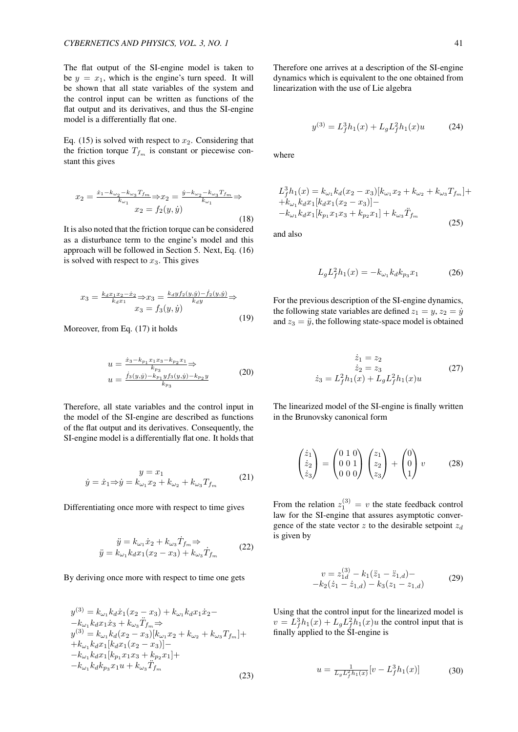The flat output of the SI-engine model is taken to be  $y = x_1$ , which is the engine's turn speed. It will be shown that all state variables of the system and the control input can be written as functions of the flat output and its derivatives, and thus the SI-engine model is a differentially flat one.

Eq. (15) is solved with respect to  $x_2$ . Considering that the friction torque  $T_{f_m}$  is constant or piecewise constant this gives

$$
x_2 = \frac{\dot{x}_1 - k_{\omega_2} - k_{\omega_3} T_{fm}}{k_{\omega_1}} \Rightarrow x_2 = \frac{\dot{y} - k_{\omega_2} - k_{\omega_3} T_{fm}}{k_{\omega_1}} \Rightarrow
$$
  

$$
x_2 = f_2(y, \dot{y})
$$
 (18)

It is also noted that the friction torque can be considered as a disturbance term to the engine's model and this approach will be followed in Section 5. Next, Eq. (16) is solved with respect to  $x_3$ . This gives

$$
x_3 = \frac{k_d x_1 x_2 - \dot{x}_2}{k_d x_1} \Rightarrow x_3 = \frac{k_d y f_2(y, \dot{y}) - \dot{f}_2(y, \dot{y})}{k_d y} \Rightarrow x_3 = f_3(y, \dot{y})
$$
\n(19)

Moreover, from Eq. (17) it holds

$$
u = \frac{\dot{x}_3 - k_{p_1} x_1 x_3 - k_{p_2} x_1}{k_{p_3}} \Rightarrow
$$
  

$$
u = \frac{\dot{f}_3(y, \dot{y}) - k_{p_1} y f_3(y, \dot{y}) - k_{p_2} y}{k_{p_3}}
$$
 (20)

Therefore, all state variables and the control input in the model of the SI-engine are described as functions of the flat output and its derivatives. Consequently, the SI-engine model is a differentially flat one. It holds that

$$
y = x_1
$$
  

$$
\dot{y} = \dot{x}_1 \Rightarrow \dot{y} = k_{\omega_1} x_2 + k_{\omega_2} + k_{\omega_3} T_{f_m}
$$
 (21)

Differentiating once more with respect to time gives

$$
\ddot{y} = k_{\omega_1} \dot{x}_2 + k_{\omega_3} \dot{T}_{f_m} \Rightarrow \n\ddot{y} = k_{\omega_1} k_d x_1 (x_2 - x_3) + k_{\omega_3} \dot{T}_{f_m}
$$
\n(22)

By deriving once more with respect to time one gets

$$
y^{(3)} = k_{\omega_1} k_d \dot{x}_1 (x_2 - x_3) + k_{\omega_1} k_d x_1 \dot{x}_2 -
$$
  
\n
$$
-k_{\omega_1} k_d x_1 \dot{x}_3 + k_{\omega_3} \ddot{T}_{f_m} \Rightarrow
$$
  
\n
$$
y^{(3)} = k_{\omega_1} k_d (x_2 - x_3) [k_{\omega_1} x_2 + k_{\omega_2} + k_{\omega_3} T_{f_m}] +
$$
  
\n
$$
+k_{\omega_1} k_d x_1 [k_d x_1 (x_2 - x_3)] -
$$
  
\n
$$
-k_{\omega_1} k_d x_1 [k_{p_1} x_1 x_3 + k_{p_2} x_1] +
$$
  
\n
$$
-k_{\omega_1} k_d k_{p_3} x_1 u + k_{\omega_3} \ddot{T}_{f_m}
$$

Therefore one arrives at a description of the SI-engine dynamics which is equivalent to the one obtained from linearization with the use of Lie algebra

$$
y^{(3)} = L_f^3 h_1(x) + L_g L_f^2 h_1(x) u \tag{24}
$$

where

$$
L_f^3 h_1(x) = k_{\omega_1} k_d(x_2 - x_3) [k_{\omega_1} x_2 + k_{\omega_2} + k_{\omega_3} T_{f_m}] +
$$
  
+
$$
k_{\omega_1} k_d x_1 [k_d x_1(x_2 - x_3)] -
$$
  
-
$$
k_{\omega_1} k_d x_1 [k_{p_1} x_1 x_3 + k_{p_2} x_1] + k_{\omega_3} \ddot{T}_{f_m}
$$
  
(25)

and also

$$
L_g L_f^2 h_1(x) = -k_{\omega_1} k_d k_{p_3} x_1 \tag{26}
$$

For the previous description of the SI-engine dynamics, the following state variables are defined  $z_1 = y$ ,  $z_2 = \dot{y}$ and  $z_3 = \ddot{y}$ , the following state-space model is obtained

$$
\dot{z}_1 = z_2
$$
  
\n
$$
\dot{z}_2 = z_3
$$
  
\n
$$
\dot{z}_3 = L_f^2 h_1(x) + L_g L_f^2 h_1(x) u
$$
\n(27)

The linearized model of the SI-engine is finally written in the Brunovsky canonical form

$$
\begin{pmatrix} \dot{z}_1\\ \dot{z}_2\\ \dot{z}_3 \end{pmatrix} = \begin{pmatrix} 0 & 1 & 0\\ 0 & 0 & 1\\ 0 & 0 & 0 \end{pmatrix} \begin{pmatrix} z_1\\ z_2\\ z_3 \end{pmatrix} + \begin{pmatrix} 0\\ 0\\ 1 \end{pmatrix} v \qquad (28)
$$

From the relation  $z_1^{(3)} = v$  the state feedback control law for the SI-engine that assures asymptotic convergence of the state vector *z* to the desirable setpoint *z<sup>d</sup>* is given by

$$
v = z_{1d}^{(3)} - k_1(\ddot{z}_1 - \ddot{z}_{1,d}) -
$$
  
-k<sub>2</sub>( $\dot{z}_1 - \dot{z}_{1,d}$ ) - k<sub>3</sub>( $z_1 - z_{1,d}$ ) (29)

Using that the control input for the linearized model is  $v = L_f^3 h_1(x) + L_g L_f^2 h_1(x)u$  the control input that is finally applied to the SI-engine is

$$
u = \frac{1}{L_g L_f^2 h_1(x)} [v - L_f^3 h_1(x)] \tag{30}
$$

$$
(23)
$$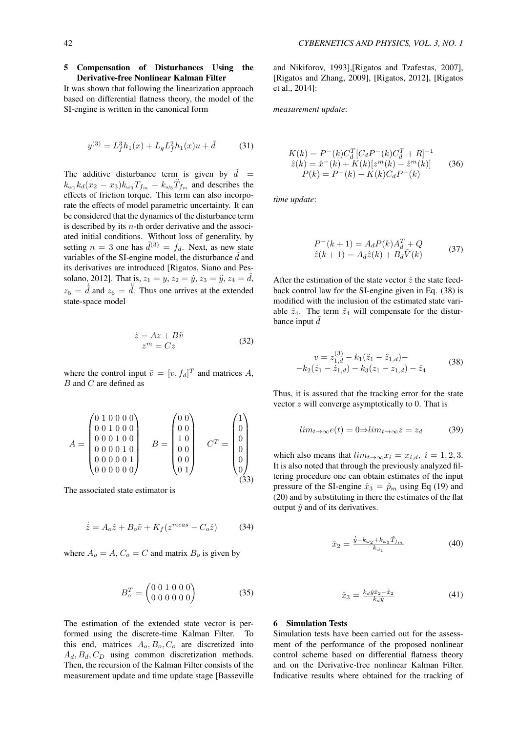# 5 Compensation of Disturbances Using the Derivative-free Nonlinear Kalman Filter

It was shown that following the linearization approach based on differential flatness theory, the model of the SI-engine is written in the canonical form

$$
y^{(3)} = L_f^3 h_1(x) + L_g L_f^2 h_1(x) u + \tilde{d}
$$
 (31)

The additive disturbance term is given by  $d =$  $k_{\omega_1} k_d(x_2 - x_3) k_{\omega_3} T_{f_m} + k_{\omega_3} T_{f_m}$  and describes the effects of friction torque. This term can also incorporate the effects of model parametric uncertainty. It can be considered that the dynamics of the disturbance term is described by its *n*-th order derivative and the associated initial conditions. Without loss of generality, by setting  $n = 3$  one has  $\tilde{d}^{(3)} = f_d$ . Next, as new state variables of the SI-engine model, the disturbance  $\tilde{d}$  and its derivatives are introduced [Rigatos, Siano and Pessolano, 2012]. That is,  $z_1 = y$ ,  $z_2 = \dot{y}$ ,  $z_3 = \ddot{y}$ ,  $z_4 = \ddot{d}$ ,  $z_5 = \dot{\tilde{d}}$  and  $z_6 = \ddot{\tilde{d}}$ . Thus one arrives at the extended state-space model

$$
\begin{aligned}\n\dot{z} &= Az + B\tilde{v} \\
z^m &= Cz\n\end{aligned} \tag{32}
$$

where the control input  $\tilde{v} = [v, f_d]^T$  and matrices A, *B* and *C* are defined as

$$
A = \begin{pmatrix} 0 & 1 & 0 & 0 & 0 \\ 0 & 0 & 1 & 0 & 0 \\ 0 & 0 & 0 & 1 & 0 \\ 0 & 0 & 0 & 0 & 1 \\ 0 & 0 & 0 & 0 & 0 \end{pmatrix} \quad B = \begin{pmatrix} 0 & 0 \\ 0 & 0 \\ 1 & 0 \\ 0 & 0 \\ 0 & 0 \end{pmatrix} \quad C^T = \begin{pmatrix} 1 \\ 0 \\ 0 \\ 0 \\ 0 \\ 0 \end{pmatrix} \tag{33}
$$

The associated state estimator is

$$
\dot{\hat{z}} = A_o \hat{z} + B_o \tilde{v} + K_f (z^{meas} - C_o \hat{z})
$$
 (34)

where  $A_o = A$ ,  $C_o = C$  and matrix  $B_o$  is given by

$$
B_o^T = \begin{pmatrix} 0 & 0 & 1 & 0 & 0 & 0 \\ 0 & 0 & 0 & 0 & 0 & 0 \end{pmatrix} \tag{35}
$$

The estimation of the extended state vector is performed using the discrete-time Kalman Filter. To this end, matrices  $A_o$ ,  $B_o$ ,  $C_o$  are discretized into  $A_d$ ,  $B_d$ ,  $C_D$  using common discretization methods. Then, the recursion of the Kalman Filter consists of the measurement update and time update stage [Basseville

and Nikiforov, 1993],[Rigatos and Tzafestas, 2007], [Rigatos and Zhang, 2009], [Rigatos, 2012], [Rigatos et al., 2014]:

*measurement update*:

$$
K(k) = P^{-}(k)C_d^{T}[C_d P^{-}(k)C_d^{T} + R]^{-1}
$$
  
\n
$$
\hat{z}(k) = \hat{x}^{-}(k) + K(k)[z^{m}(k) - \hat{z}^{m}(k)]
$$
  
\n
$$
P(k) = P^{-}(k) - K(k)C_d P^{-}(k)
$$
\n(36)

*time update*:

$$
P^{-}(k+1) = A_{d}P(k)A_{d}^{T} + Q
$$
  

$$
\hat{z}(k+1) = A_{d}\hat{z}(k) + B_{d}\tilde{V}(k)
$$
 (37)

After the estimation of the state vector  $\hat{z}$  the state feedback control law for the SI-engine given in Eq. (38) is modified with the inclusion of the estimated state variable  $\hat{z}_4$ . The term  $\hat{z}_4$  will compensate for the disturbance input  $\ddot{d}$ 

$$
v = z_{1,d}^{(3)} - k_1(\ddot{z}_1 - \ddot{z}_{1,d}) -
$$
  

$$
-k_2(\dot{z}_1 - \dot{z}_{1,d}) - k_3(z_1 - z_{1,d}) - \dot{z}_4
$$
 (38)

Thus, it is assured that the tracking error for the state vector *z* will converge asymptotically to 0. That is

$$
lim_{t \to \infty} e(t) = 0 \Rightarrow lim_{t \to \infty} z = z_d \tag{39}
$$

which also means that  $\lim_{t\to\infty} x_i = x_{i,d}, i = 1, 2, 3$ . It is also noted that through the previously analyzed filtering procedure one can obtain estimates of the input pressure of the SI-engine  $\hat{x}_3 = \hat{p}_m$  using Eq (19) and (20) and by substituting in there the estimates of the flat output  $\hat{y}$  and of its derivatives.

$$
\hat{x}_2 = \frac{\dot{y} - k_{\omega_2} + k_{\omega_3} \hat{T}_{fm}}{k_{\omega_1}} \tag{40}
$$

$$
\hat{x}_3 = \frac{k_d \hat{y} \hat{x}_2 - \hat{\dot{x}}_2}{k_d \hat{y}} \tag{41}
$$

#### 6 Simulation Tests

Simulation tests have been carried out for the assessment of the performance of the proposed nonlinear control scheme based on differential flatness theory and on the Derivative-free nonlinear Kalman Filter. Indicative results where obtained for the tracking of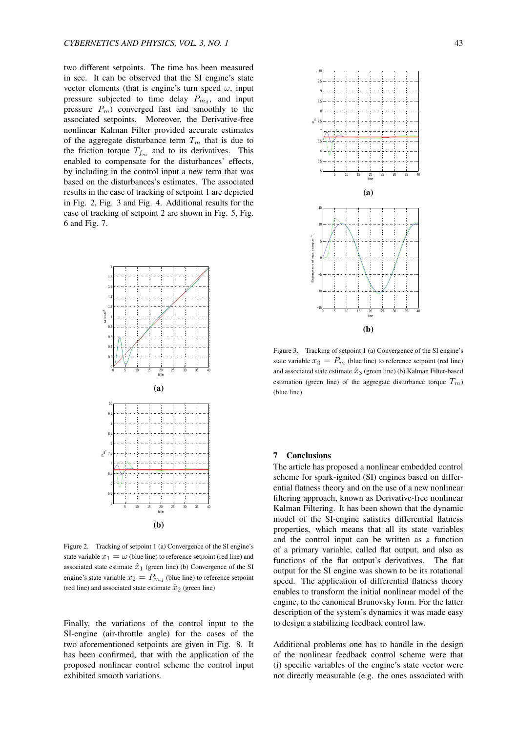two different setpoints. The time has been measured in sec. It can be observed that the SI engine's state vector elements (that is engine's turn speed *ω*, input pressure subjected to time delay  $P_{m_d}$ , and input pressure  $P_m$ ) converged fast and smoothly to the associated setpoints. Moreover, the Derivative-free nonlinear Kalman Filter provided accurate estimates of the aggregate disturbance term  $T_m$  that is due to the friction torque  $T_{f_m}$  and to its derivatives. This enabled to compensate for the disturbances' effects, by including in the control input a new term that was based on the disturbances's estimates. The associated results in the case of tracking of setpoint 1 are depicted in Fig. 2, Fig. 3 and Fig. 4. Additional results for the case of tracking of setpoint 2 are shown in Fig. 5, Fig. 6 and Fig. 7.



Figure 2. Tracking of setpoint 1 (a) Convergence of the SI engine's state variable  $x_1 = \omega$  (blue line) to reference setpoint (red line) and associated state estimate  $\hat{x}_1$  (green line) (b) Convergence of the SI engine's state variable  $x_2 = P_{m_d}$  (blue line) to reference setpoint (red line) and associated state estimate  $\hat{x}_2$  (green line)

Finally, the variations of the control input to the SI-engine (air-throttle angle) for the cases of the two aforementioned setpoints are given in Fig. 8. It has been confirmed, that with the application of the proposed nonlinear control scheme the control input exhibited smooth variations.



Figure 3. Tracking of setpoint 1 (a) Convergence of the SI engine's state variable  $x_3 = P_m$  (blue line) to reference setpoint (red line) and associated state estimate  $\hat{x}_3$  (green line) (b) Kalman Filter-based estimation (green line) of the aggregate disturbance torque  $T_m$ ) (blue line)

#### 7 Conclusions

The article has proposed a nonlinear embedded control scheme for spark-ignited (SI) engines based on differential flatness theory and on the use of a new nonlinear filtering approach, known as Derivative-free nonlinear Kalman Filtering. It has been shown that the dynamic model of the SI-engine satisfies differential flatness properties, which means that all its state variables and the control input can be written as a function of a primary variable, called flat output, and also as functions of the flat output's derivatives. The flat output for the SI engine was shown to be its rotational speed. The application of differential flatness theory enables to transform the initial nonlinear model of the engine, to the canonical Brunovsky form. For the latter description of the system's dynamics it was made easy to design a stabilizing feedback control law.

Additional problems one has to handle in the design of the nonlinear feedback control scheme were that (i) specific variables of the engine's state vector were not directly measurable (e.g. the ones associated with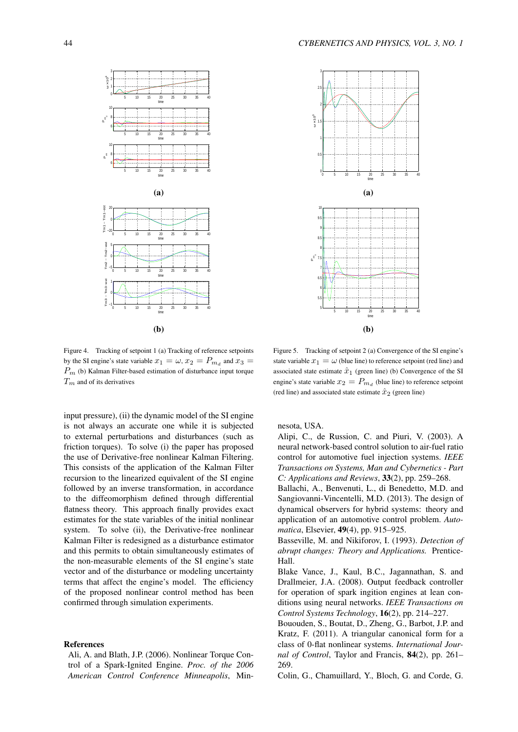



Figure 4. Tracking of setpoint 1 (a) Tracking of reference setpoints by the SI engine's state variable  $x_1 = \omega$ ,  $x_2 = P_{m_d}$  and  $x_3 =$ *P<sup>m</sup>* (b) Kalman Filter-based estimation of disturbance input torque *T<sup>m</sup>* and of its derivatives

input pressure), (ii) the dynamic model of the SI engine is not always an accurate one while it is subjected to external perturbations and disturbances (such as friction torques). To solve (i) the paper has proposed the use of Derivative-free nonlinear Kalman Filtering. This consists of the application of the Kalman Filter recursion to the linearized equivalent of the SI engine followed by an inverse transformation, in accordance to the diffeomorphism defined through differential flatness theory. This approach finally provides exact estimates for the state variables of the initial nonlinear system. To solve (ii), the Derivative-free nonlinear Kalman Filter is redesigned as a disturbance estimator and this permits to obtain simultaneously estimates of the non-measurable elements of the SI engine's state vector and of the disturbance or modeling uncertainty terms that affect the engine's model. The efficiency of the proposed nonlinear control method has been confirmed through simulation experiments.

#### References

Ali, A. and Blath, J.P. (2006). Nonlinear Torque Control of a Spark-Ignited Engine. *Proc. of the 2006 American Control Conference Minneapolis*, Min-

Figure 5. Tracking of setpoint 2 (a) Convergence of the SI engine's state variable  $x_1 = \omega$  (blue line) to reference setpoint (red line) and associated state estimate  $\hat{x}_1$  (green line) (b) Convergence of the SI engine's state variable  $x_2 = P_{m_d}$  (blue line) to reference setpoint (red line) and associated state estimate  $\hat{x}_2$  (green line)

nesota, USA.

Alipi, C., de Russion, C. and Piuri, V. (2003). A neural network-based control solution to air-fuel ratio control for automotive fuel injection systems. *IEEE Transactions on Systems, Man and Cybernetics - Part C: Applications and Reviews*, 33(2), pp. 259–268.

Ballachi, A., Benvenuti, L., di Benedetto, M.D. and Sangiovanni-Vincentelli, M.D. (2013). The design of dynamical observers for hybrid systems: theory and application of an automotive control problem. *Automatica*, Elsevier, 49(4), pp. 915–925.

Basseville, M. and Nikiforov, I. (1993). *Detection of abrupt changes: Theory and Applications.* Prentice-Hall.

Blake Vance, J., Kaul, B.C., Jagannathan, S. and Drallmeier, J.A. (2008). Output feedback controller for operation of spark ingition engines at lean conditions using neural networks. *IEEE Transactions on Control Systems Technology*, 16(2), pp. 214–227.

Bououden, S., Boutat, D., Zheng, G., Barbot, J.P. and Kratz, F. (2011). A triangular canonical form for a class of 0-flat nonlinear systems. *International Journal of Control*, Taylor and Francis, 84(2), pp. 261– 269.

Colin, G., Chamuillard, Y., Bloch, G. and Corde, G.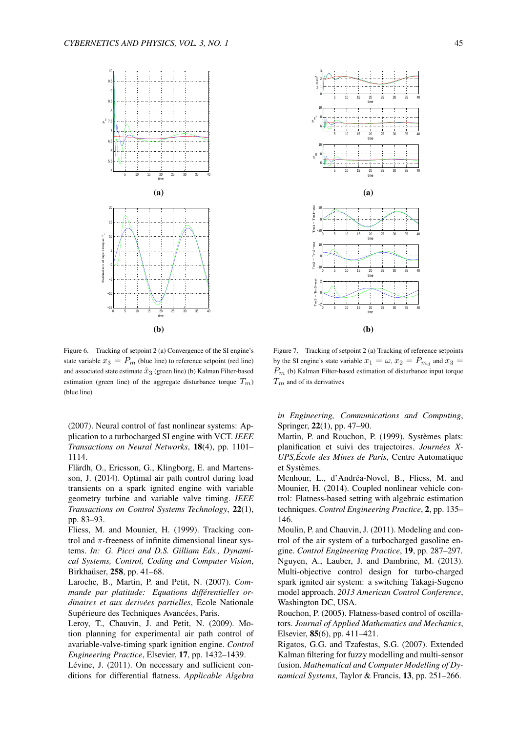

Figure 6. Tracking of setpoint 2 (a) Convergence of the SI engine's state variable  $x_3 = P_m$  (blue line) to reference setpoint (red line) and associated state estimate  $\hat{x}_3$  (green line) (b) Kalman Filter-based estimation (green line) of the aggregate disturbance torque  $T_m$ ) (blue line)

(2007). Neural control of fast nonlinear systems: Application to a turbocharged SI engine with VCT. *IEEE Transactions on Neural Networks*, 18(4), pp. 1101– 1114.

Flärdh, O., Ericsson, G., Klingborg, E. and Martensson, J. (2014). Optimal air path control during load transients on a spark ignited engine with variable geometry turbine and variable valve timing. *IEEE Transactions on Control Systems Technology*, 22(1), pp. 83–93.

Fliess, M. and Mounier, H. (1999). Tracking control and *π*-freeness of infinite dimensional linear systems. *In: G. Picci and D.S. Gilliam Eds., Dynamical Systems, Control, Coding and Computer Vision*, Birkhaüser, 258, pp. 41–68.

Laroche, B., Martin, P. and Petit, N. (2007). *Commande par platitude: Equations differentielles or- ´ dinaires et aux derivées partielles*, Ecole Nationale Supérieure des Techniques Avancées, Paris.

Leroy, T., Chauvin, J. and Petit, N. (2009). Motion planning for experimental air path control of avariable-valve-timing spark ignition engine. *Control Engineering Practice*, Elsevier, 17, pp. 1432–1439.

Lévine, J. (2011). On necessary and sufficient conditions for differential flatness. *Applicable Algebra*



Figure 7. Tracking of setpoint 2 (a) Tracking of reference setpoints by the SI engine's state variable  $x_1 = \omega$ ,  $x_2 = P_{m_d}$  and  $x_3 =$ *P<sup>m</sup>* (b) Kalman Filter-based estimation of disturbance input torque *T<sup>m</sup>* and of its derivatives

*in Engineering, Communications and Computing*, Springer, 22(1), pp. 47–90.

Martin, P. and Rouchon, P. (1999). Systèmes plats: planification et suivi des trajectoires. *Journees X- ´ UPS,Ecole des Mines de Paris ´* , Centre Automatique et Systèmes.

Menhour, L., d'Andréa-Novel, B., Fliess, M. and Mounier, H. (2014). Coupled nonlinear vehicle control: Flatness-based setting with algebraic estimation techniques. *Control Engineering Practice*, 2, pp. 135– 146.

Moulin, P. and Chauvin, J. (2011). Modeling and control of the air system of a turbocharged gasoline engine. *Control Engineering Practice*, 19, pp. 287–297. Nguyen, A., Lauber, J. and Dambrine, M. (2013). Multi-objective control design for turbo-charged spark ignited air system: a switching Takagi-Sugeno model approach. *2013 American Control Conference*, Washington DC, USA.

Rouchon, P. (2005). Flatness-based control of oscillators. *Journal of Applied Mathematics and Mechanics*, Elsevier, 85(6), pp. 411–421.

Rigatos, G.G. and Tzafestas, S.G. (2007). Extended Kalman filtering for fuzzy modelling and multi-sensor fusion. *Mathematical and Computer Modelling of Dynamical Systems*, Taylor & Francis, 13, pp. 251–266.